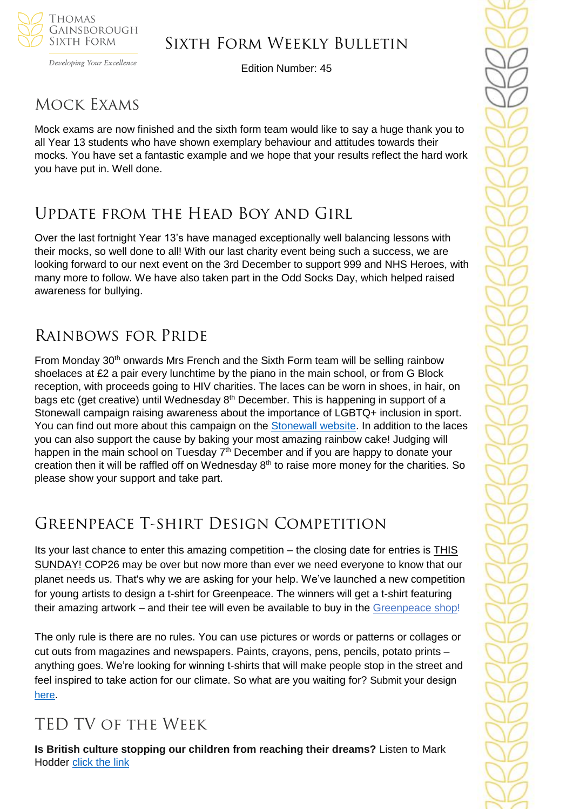

### Sixth Form Weekly Bulletin

Edition Number: 45

### Mock Exams

Mock exams are now finished and the sixth form team would like to say a huge thank you to all Year 13 students who have shown exemplary behaviour and attitudes towards their mocks. You have set a fantastic example and we hope that your results reflect the hard work you have put in. Well done.

### Update from the Head Boy and Girl

Over the last fortnight Year 13's have managed exceptionally well balancing lessons with their mocks, so well done to all! With our last charity event being such a success, we are looking forward to our next event on the 3rd December to support 999 and NHS Heroes, with many more to follow. We have also taken part in the Odd Socks Day, which helped raised awareness for bullying.

## Rainbows for Pride

From Monday 30<sup>th</sup> onwards Mrs French and the Sixth Form team will be selling rainbow shoelaces at £2 a pair every lunchtime by the piano in the main school, or from G Block reception, with proceeds going to HIV charities. The laces can be worn in shoes, in hair, on bags etc (get creative) until Wednesday  $8<sup>th</sup>$  December. This is happening in support of a Stonewall campaign raising awareness about the importance of LGBTQ+ inclusion in sport. You can find out more about this campaign on the [Stonewall website.](https://www.stonewall.org.uk/our-work/campaigns/rainbow-laces) In addition to the laces you can also support the cause by baking your most amazing rainbow cake! Judging will happen in the main school on Tuesday 7<sup>th</sup> December and if you are happy to donate your creation then it will be raffled off on Wednesday 8<sup>th</sup> to raise more money for the charities. So please show your support and take part.

# Greenpeace T-shirt Design Competition

Its your last chance to enter this amazing competition – the closing date for entries is THIS SUNDAY! COP26 may be over but now more than ever we need everyone to know that our planet needs us. That's why we are asking for your help. We've launched a new competition for young artists to design a t-shirt for Greenpeace. The winners will get a t-shirt featuring their amazing artwork – and their tee will even be available to buy in the [Greenpeace](https://action.greenpeace.org.uk/e/854853/31jp5zd/28hq5g/449794181?h=DjxglFj1dcyr2L-0_mxXjRHssJFxK-dOwqr-2p_pzYM) shop!

The only rule is there are no rules. You can use pictures or words or patterns or collages or cut outs from magazines and newspapers. Paints, crayons, pens, pencils, potato prints – anything goes. We're looking for winning t-shirts that will make people stop in the street and feel inspired to take action for our climate. So what are you waiting for? Submit your design [here.](https://tshirt.greenpeace.org.uk/?source=EM&subsource=GOFRNAOAEM03KK&utm_source=newsletter&utm_medium=Email&utm_campaign=Kids+t-shirt+design+competition+October+2021++OA+20211109&utm_term=Full+List)

### TED TV of the Week

**Is British culture stopping our children from reaching their dreams?** Listen to Mark Hodder [click the link](https://www.ted.com/talks/mark_hodder_is_british_culture_is_stopping_our_children_from_reaching_their_dreams)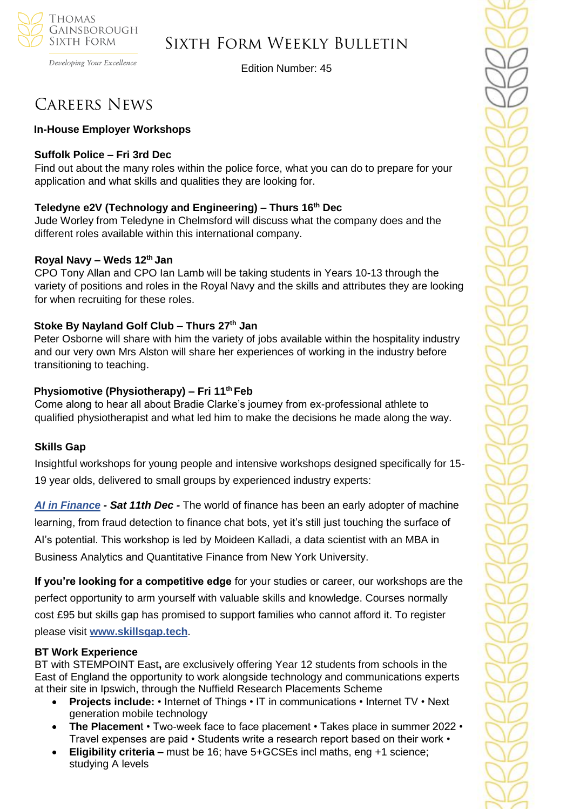

### Sixth Form Weekly Bulletin

Edition Number: 45

## Careers News

### **In-House Employer Workshops**

### **Suffolk Police – Fri 3rd Dec**

Find out about the many roles within the police force, what you can do to prepare for your application and what skills and qualities they are looking for.

### **Teledyne e2V (Technology and Engineering) – Thurs 16th Dec**

Jude Worley from Teledyne in Chelmsford will discuss what the company does and the different roles available within this international company.

### **Royal Navy – Weds 12th Jan**

CPO Tony Allan and CPO Ian Lamb will be taking students in Years 10-13 through the variety of positions and roles in the Royal Navy and the skills and attributes they are looking for when recruiting for these roles.

### **Stoke By Nayland Golf Club – Thurs 27th Jan**

Peter Osborne will share with him the variety of jobs available within the hospitality industry and our very own Mrs Alston will share her experiences of working in the industry before transitioning to teaching.

### **Physiomotive (Physiotherapy) – Fri 11th Feb**

Come along to hear all about Bradie Clarke's journey from ex-professional athlete to qualified physiotherapist and what led him to make the decisions he made along the way.

#### **Skills Gap**

Insightful workshops for young people and intensive workshops designed specifically for 15- 19 year olds, delivered to small groups by experienced industry experts:

*[AI in Finance](https://sportlivedlimited.cmail19.com/t/r-l-trthxut-bzsdtjkt-y/) - Sat 11th Dec -* The world of finance has been an early adopter of machine learning, from fraud detection to finance chat bots, yet it's still just touching the surface of AI's potential. This workshop is led by Moideen Kalladi, a data scientist with an MBA in Business Analytics and Quantitative Finance from New York University.

**If you're looking for a competitive edge** for your studies or career, our workshops are the perfect opportunity to arm yourself with valuable skills and knowledge. Courses normally cost £95 but skills gap has promised to support families who cannot afford it. To register please visit **[www.skillsgap.tech](http://www.skillsgap.tech/)**.

#### **BT Work Experience**

BT with STEMPOINT East**,** are exclusively offering Year 12 students from schools in the East of England the opportunity to work alongside technology and communications experts at their site in Ipswich, through the Nuffield Research Placements Scheme

- **Projects include:** Internet of Things IT in communications Internet TV Next generation mobile technology
- **The Placemen**t Two-week face to face placement Takes place in summer 2022 Travel expenses are paid • Students write a research report based on their work •
- **Eligibility criteria –** must be 16; have 5+GCSEs incl maths, eng +1 science; studying A levels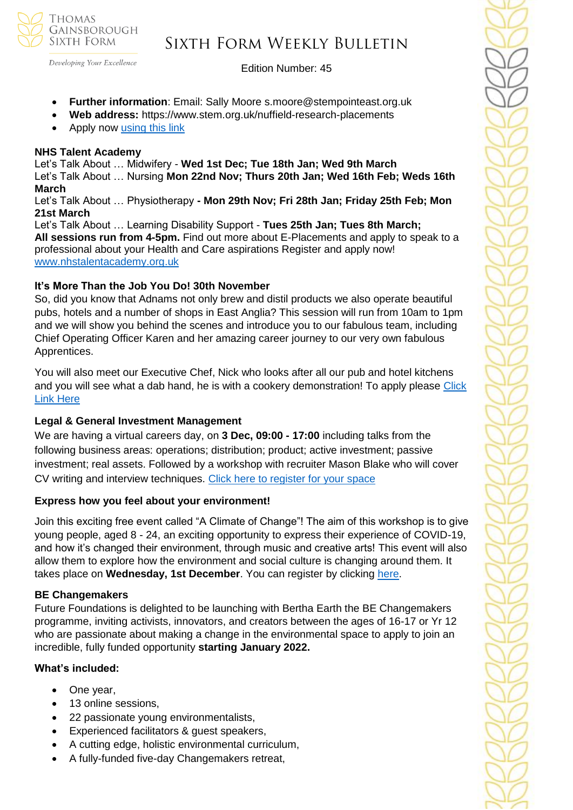

Developing Your Excellence

#### Edition Number: 45

- **Further information**: Email: Sally Moore s.moore@stempointeast.org.uk
- **Web address:** https://www.stem.org.uk/nuffield-research-placements
- Apply now [using this link](http://www.nuffieldresearchplacements.org/)

#### **NHS Talent Academy**

Let's Talk About … Midwifery - **Wed 1st Dec; Tue 18th Jan; Wed 9th March**  Let's Talk About … Nursing **Mon 22nd Nov; Thurs 20th Jan; Wed 16th Feb; Weds 16th March**

Let's Talk About … Physiotherapy **- Mon 29th Nov; Fri 28th Jan; Friday 25th Feb; Mon 21st March**

Let's Talk About … Learning Disability Support - **Tues 25th Jan; Tues 8th March; All sessions run from 4-5pm.** Find out more about E-Placements and apply to speak to a professional about your Health and Care aspirations Register and apply now! [www.nhstalentacademy.org.uk](file://///tgs-sr-data/Staff%20Shared-N/Sixth%20Form/Admin/Weekly%20Bulletin/www.nhstalentacademy.org.uk)

### **It's More Than the Job You Do! 30th November**

So, did you know that Adnams not only brew and distil products we also operate beautiful pubs, hotels and a number of shops in East Anglia? This session will run from 10am to 1pm and we will show you behind the scenes and introduce you to our fabulous team, including Chief Operating Officer Karen and her amazing career journey to our very own fabulous Apprentices.

You will also meet our Executive Chef, Nick who looks after all our pub and hotel kitchens and you will see what a dab hand, he is with a cookery demonstration! To apply please Click [Link Here](https://www.s4snextgen.org/schools/opportunitiesv2/ViewOpportunity/id/2294)

### **Legal & General Investment Management**

We are having a virtual careers day, on **3 Dec, 09:00 - 17:00** including talks from the following business areas: operations; distribution; product; active investment; passive investment; real assets. Followed by a workshop with recruiter Mason Blake who will cover CV writing and interview techniques. [Click here to register for your space](mailto:SEM.Committee@lgim.com?subject=Legal%20%26%20General%20Investment%20Management%20Careers%20Event%20-%203%20December)

#### **Express how you feel about your environment!**

Join this exciting free event called "A Climate of Change"! The aim of this workshop is to give young people, aged 8 - 24, an exciting opportunity to express their experience of COVID-19, and how it's changed their environment, through music and creative arts! This event will also allow them to explore how the environment and social culture is changing around them. It takes place on **Wednesday, 1st December**. You can register by clicking [here.](https://emea01.safelinks.protection.outlook.com/?url=https%3A%2F%2F5i9pf.r.ag.d.sendibm3.com%2Fmk%2Fcl%2Ff%2FE31guarJnzYo1k8a9_2aosbZs0Dr2odCTU6lCSySkk9yS4PGeaIh8OA_MQnZWkdjLqlCb9s8tt4UzKs2kS5S7v97-x3J5evkxy8uTMiiZGci-PIRv7p1RawbApdKYxwj0EHnriPPTQtgLnZb3OOTHqhW3IC-Hjr-P0g8AelDGNqM62GDOqZGriTdEno3-VOKMtwjvaxVGxlhKSQcPhPFGGIcfHHpzQ6CGxYHP3VG0vbPopT7-gKEiQFrx5aUw6cuP4WHGvGz6oUrxgj7YKw3nsd1cdQ75wSKg-CuZLhKNdjHexK2VwbXdGw-tvEyFF9qlMeRp5PMIgdLO6b6qJ0mWxqf8b9a7xeSQM3aU18scHbB&data=04%7C01%7C%7C4527ef94dab04b80a72308d9adabc3c1%7C84df9e7fe9f640afb435aaaaaaaaaaaa%7C1%7C0%7C637731775499359562%7CUnknown%7CTWFpbGZsb3d8eyJWIjoiMC4wLjAwMDAiLCJQIjoiV2luMzIiLCJBTiI6Ik1haWwiLCJXVCI6Mn0%3D%7C3000&sdata=6H9cljOb6aSfVW78vtMNQLFhUB8xSCVGYJW1WI7%2BnS4%3D&reserved=0)

#### **BE Changemakers**

Future Foundations is delighted to be launching with Bertha Earth the [BE Changemakers](https://emea01.safelinks.protection.outlook.com/?url=https%3A%2F%2Fapp7.campus-site.com%2Fpublic%2Fe%2Fclick%2FzJ-7lXmddzE-DahbpHMwzA%2FPS0tYgzYswR141V3-1j0jQ%2F&data=04%7C01%7C%7C5ed190acd5fe4dda380608d9ad9c63b1%7C84df9e7fe9f640afb435aaaaaaaaaaaa%7C1%7C0%7C637731709462095675%7CUnknown%7CTWFpbGZsb3d8eyJWIjoiMC4wLjAwMDAiLCJQIjoiV2luMzIiLCJBTiI6Ik1haWwiLCJXVCI6Mn0%3D%7C3000&sdata=5WcwMje2tgyt5yi7iymfURNhCcI5LLS%2FiUl38R%2Bxv0A%3D&reserved=0)  [programme](https://emea01.safelinks.protection.outlook.com/?url=https%3A%2F%2Fapp7.campus-site.com%2Fpublic%2Fe%2Fclick%2FzJ-7lXmddzE-DahbpHMwzA%2FPS0tYgzYswR141V3-1j0jQ%2F&data=04%7C01%7C%7C5ed190acd5fe4dda380608d9ad9c63b1%7C84df9e7fe9f640afb435aaaaaaaaaaaa%7C1%7C0%7C637731709462095675%7CUnknown%7CTWFpbGZsb3d8eyJWIjoiMC4wLjAwMDAiLCJQIjoiV2luMzIiLCJBTiI6Ik1haWwiLCJXVCI6Mn0%3D%7C3000&sdata=5WcwMje2tgyt5yi7iymfURNhCcI5LLS%2FiUl38R%2Bxv0A%3D&reserved=0)[,](https://emea01.safelinks.protection.outlook.com/?url=https%3A%2F%2Fapp7.campus-site.com%2Fpublic%2Fe%2Fclick%2FzJ-7lXmddzE-DahbpHMwzA%2FPS0tYgzYswR141V3-1j0jQ%2F&data=04%7C01%7C%7C5ed190acd5fe4dda380608d9ad9c63b1%7C84df9e7fe9f640afb435aaaaaaaaaaaa%7C1%7C0%7C637731709462105633%7CUnknown%7CTWFpbGZsb3d8eyJWIjoiMC4wLjAwMDAiLCJQIjoiV2luMzIiLCJBTiI6Ik1haWwiLCJXVCI6Mn0%3D%7C3000&sdata=hh7Vbyx%2B94swb1I8j0vohoainPHgZ7OV%2BeoKaU%2FQ9g4%3D&reserved=0) inviting activists, innovators, and creators between the ages of 16-17 or Yr 12 who are passionate about making a change in the environmental space to apply to join an incredible, fully funded opportunity **starting January 2022.**

#### **What's included:**

- One year,
- 13 online sessions,
- 22 passionate young environmentalists,
- Experienced facilitators & guest speakers,
- A cutting edge, holistic environmental curriculum,
- A fully-funded five-day Changemakers retreat,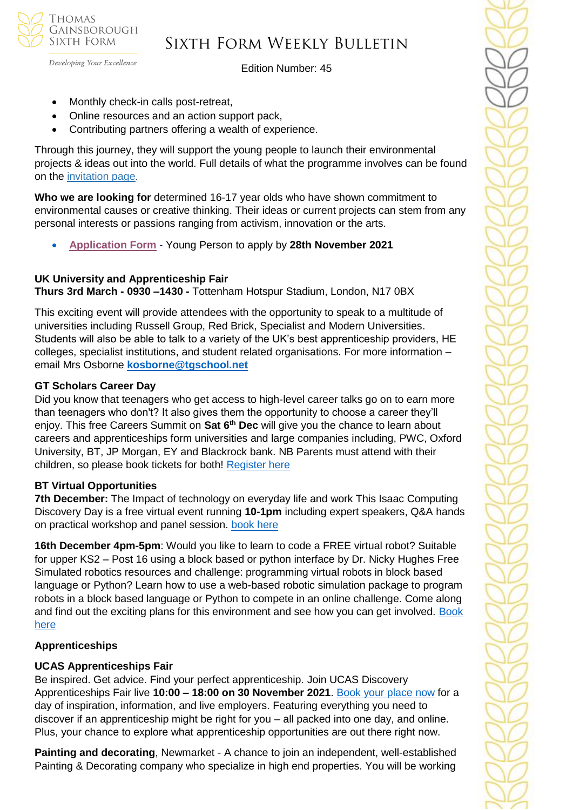

Developing Your Excellence

Edition Number: 45

- Monthly check-in calls post-retreat,
- Online resources and an action support pack,
- Contributing partners offering a wealth of experience.

Through this journey, they will support the young people to launch their environmental projects & ideas out into the world. Full details of what the programme involves can be found on the [invitation page](https://emea01.safelinks.protection.outlook.com/?url=https%3A%2F%2Fapp7.campus-site.com%2Fpublic%2Fe%2Fclick%2FzJ-7lXmddzE-DahbpHMwzA%2FPS0tYgzYswR141V3-1j0jQ%2F&data=04%7C01%7C%7C5ed190acd5fe4dda380608d9ad9c63b1%7C84df9e7fe9f640afb435aaaaaaaaaaaa%7C1%7C0%7C637731709462115590%7CUnknown%7CTWFpbGZsb3d8eyJWIjoiMC4wLjAwMDAiLCJQIjoiV2luMzIiLCJBTiI6Ik1haWwiLCJXVCI6Mn0%3D%7C3000&sdata=PAZM9PTH0ypZbLaKFDD2L90MUXG4BXMIGH2ef%2BWD4IY%3D&reserved=0).

**Who we are looking for** determined 16-17 year olds who have shown commitment to environmental causes or creative thinking. Their ideas or current projects can stem from any personal interests or passions ranging from activism, innovation or the arts.

• **[Application Form](https://emea01.safelinks.protection.outlook.com/?url=https%3A%2F%2Fapp7.campus-site.com%2Fpublic%2Fe%2Fclick%2FADHtWNHge1sZaszRN9GSpg%2FPS0tYgzYswR141V3-1j0jQ&data=04%7C01%7C%7C5ed190acd5fe4dda380608d9ad9c63b1%7C84df9e7fe9f640afb435aaaaaaaaaaaa%7C1%7C0%7C637731709462135505%7CUnknown%7CTWFpbGZsb3d8eyJWIjoiMC4wLjAwMDAiLCJQIjoiV2luMzIiLCJBTiI6Ik1haWwiLCJXVCI6Mn0%3D%7C3000&sdata=CWEkF1jxUJHV2o%2BqWCw28%2BMZRsGMs3TdZYFRsUPRGi8%3D&reserved=0)** - Young Person to apply by **28th November 2021**

### **UK University and Apprenticeship Fair**

**Thurs 3rd March - 0930 –1430 -** Tottenham Hotspur Stadium, London, N17 0BX

This exciting event will provide attendees with the opportunity to speak to a multitude of universities including Russell Group, Red Brick, Specialist and Modern Universities. Students will also be able to talk to a variety of the UK's best apprenticeship providers, HE colleges, specialist institutions, and student related organisations. For more information – email Mrs Osborne **[kosborne@tgschool.net](mailto:kosborne@tgschool.net)**

### **GT Scholars Career Day**

Did you know that teenagers who get access to high-level career talks go on to earn more than teenagers who don't? It also gives them the opportunity to choose a career they'll enjoy. This free Careers Summit on **Sat 6th Dec** will give you the chance to learn about careers and apprenticeships form universities and large companies including, PWC, Oxford University, BT, JP Morgan, EY and Blackrock bank. NB Parents must attend with their children, so please book tickets for both! [Register here](https://careersummit.gtscholars.org/)

### **BT Virtual Opportunities**

**7th December:** The Impact of technology on everyday life and work This Isaac Computing Discovery Day is a free virtual event running **10-1pm** including expert speakers, Q&A hands on practical workshop and panel session. [book here](https://isaaccomputerscience.org/events/20211207_discovery_bt?examBoard=all&stage=all)

**16th December 4pm-5pm**: Would you like to learn to code a FREE virtual robot? Suitable for upper KS2 – Post 16 using a block based or python interface by Dr. Nicky Hughes Free Simulated robotics resources and challenge: programming virtual robots in block based language or Python? Learn how to use a web-based robotic simulation package to program robots in a block based language or Python to compete in an online challenge. Come along and find out the exciting plans for this environment and see how you can get involved. Book [here](https://isaaccomputerscience.org/events/20211207_discovery_bt?examBoard=all&stage=all)

#### **Apprenticeships**

### **UCAS Apprenticeships Fair**

Be inspired. Get advice. Find your perfect apprenticeship. Join UCAS Discovery Apprenticeships Fair live **10:00 – 18:00 on 30 November 2021**. [Book your place now](https://www.ucas.com/registration?reference=event-404796) for a day of inspiration, information, and live employers. Featuring everything you need to discover if an apprenticeship might be right for you – all packed into one day, and online. Plus, your chance to explore what apprenticeship opportunities are out there right now.

**Painting and decorating**, Newmarket - A chance to join an independent, well-established Painting & Decorating company who specialize in high end properties. You will be working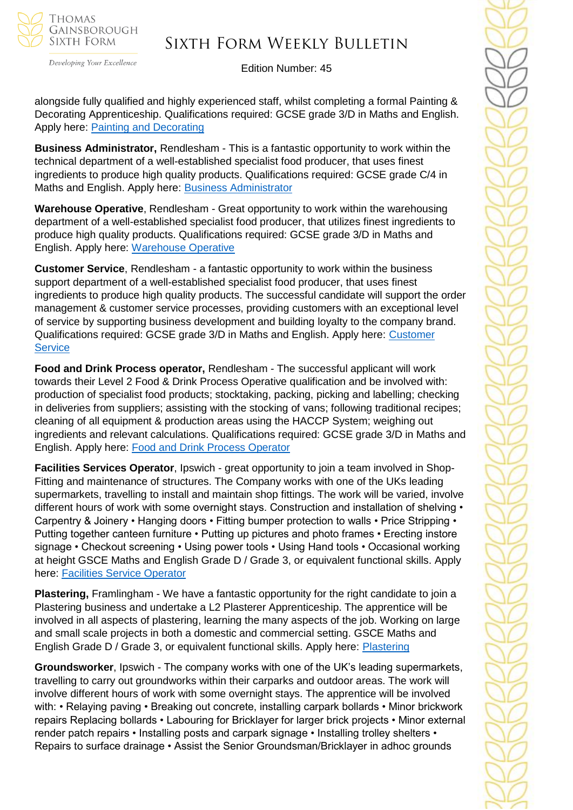

Developing Your Excellence

### Edition Number: 45

alongside fully qualified and highly experienced staff, whilst completing a formal Painting & Decorating Apprenticeship. Qualifications required: GCSE grade 3/D in Maths and English. Apply here: [Painting and Decorating](https://v2.apprenticeshipsnewanglia.co.uk/applicants/help/?ref=08db834f-d969-4916-b25f-6a848ba9c527)

**Business Administrator,** Rendlesham - This is a fantastic opportunity to work within the technical department of a well-established specialist food producer, that uses finest ingredients to produce high quality products. Qualifications required: GCSE grade C/4 in Maths and English. Apply here: [Business Administrator](https://v2.apprenticeshipsnewanglia.co.uk/applicants/help/?ref=9f9d3256-115d-49ac-aa1d-fa6239690a77)

**Warehouse Operative**, Rendlesham - Great opportunity to work within the warehousing department of a well-established specialist food producer, that utilizes finest ingredients to produce high quality products. Qualifications required: GCSE grade 3/D in Maths and English. Apply here: [Warehouse Operative](https://v2.apprenticeshipsnewanglia.co.uk/applicants/help/?ref=0b63e7d8-4077-4333-b89e-7d5958e3db6a)

**Customer Service**, Rendlesham - a fantastic opportunity to work within the business support department of a well-established specialist food producer, that uses finest ingredients to produce high quality products. The successful candidate will support the order management & customer service processes, providing customers with an exceptional level of service by supporting business development and building loyalty to the company brand. Qualifications required: GCSE grade 3/D in Maths and English. Apply here: [Customer](https://v2.apprenticeshipsnewanglia.co.uk/applicants/help/?ref=01deb169-d6e2-4b05-8f4c-768352e37e91)  **[Service](https://v2.apprenticeshipsnewanglia.co.uk/applicants/help/?ref=01deb169-d6e2-4b05-8f4c-768352e37e91)** 

**Food and Drink Process operator,** Rendlesham - The successful applicant will work towards their Level 2 Food & Drink Process Operative qualification and be involved with: production of specialist food products; stocktaking, packing, picking and labelling; checking in deliveries from suppliers; assisting with the stocking of vans; following traditional recipes; cleaning of all equipment & production areas using the HACCP System; weighing out ingredients and relevant calculations. Qualifications required: GCSE grade 3/D in Maths and English. Apply here: [Food and Drink Process Operator](https://v2.apprenticeshipsnewanglia.co.uk/applicants/help/?ref=82e1a29c-b2c2-42af-acbf-00789efab099)

**Facilities Services Operator**, Ipswich - great opportunity to join a team involved in Shop-Fitting and maintenance of structures. The Company works with one of the UKs leading supermarkets, travelling to install and maintain shop fittings. The work will be varied, involve different hours of work with some overnight stays. Construction and installation of shelving • Carpentry & Joinery • Hanging doors • Fitting bumper protection to walls • Price Stripping • Putting together canteen furniture • Putting up pictures and photo frames • Erecting instore signage • Checkout screening • Using power tools • Using Hand tools • Occasional working at height GSCE Maths and English Grade D / Grade 3, or equivalent functional skills. Apply here: [Facilities Service Operator](https://v2.apprenticeshipsnewanglia.co.uk/applicants/help/?ref=19032ba5-1e97-4a26-8cd7-e8104a08f9fe)

**Plastering,** Framlingham - We have a fantastic opportunity for the right candidate to join a Plastering business and undertake a L2 Plasterer Apprenticeship. The apprentice will be involved in all aspects of plastering, learning the many aspects of the job. Working on large and small scale projects in both a domestic and commercial setting. GSCE Maths and English Grade D / Grade 3, or equivalent functional skills. Apply here: [Plastering](https://v2.apprenticeshipsnewanglia.co.uk/applicants/help/?ref=64a8e14d-49c9-4da5-908c-3e419673d6e7)

**Groundsworker**, Ipswich - The company works with one of the UK's leading supermarkets, travelling to carry out groundworks within their carparks and outdoor areas. The work will involve different hours of work with some overnight stays. The apprentice will be involved with: • Relaying paving • Breaking out concrete, installing carpark bollards • Minor brickwork repairs Replacing bollards • Labouring for Bricklayer for larger brick projects • Minor external render patch repairs • Installing posts and carpark signage • Installing trolley shelters • Repairs to surface drainage • Assist the Senior Groundsman/Bricklayer in adhoc grounds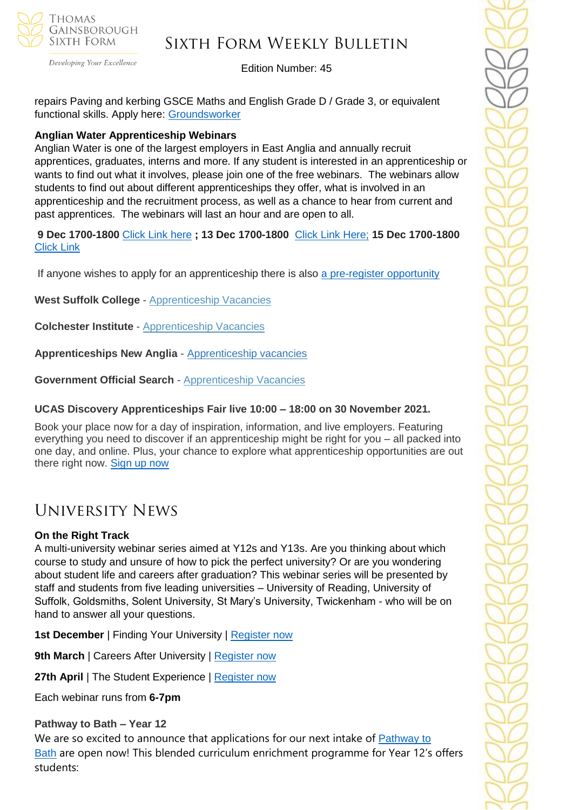

Developing Your Excellence

### Edition Number: 45

repairs Paving and kerbing GSCE Maths and English Grade D / Grade 3, or equivalent functional skills. Apply here: [Groundsworker](https://v2.apprenticeshipsnewanglia.co.uk/applicants/help/?ref=0c8610cc-a44c-41c0-a040-bb803843947b)

### **Anglian Water Apprenticeship Webinars**

Anglian Water is one of the largest employers in East Anglia and annually recruit apprentices, graduates, interns and more. If any student is interested in an apprenticeship or wants to find out what it involves, please join one of the free webinars. The webinars allow students to find out about different apprenticeships they offer, what is involved in an apprenticeship and the recruitment process, as well as a chance to hear from current and past apprentices. The webinars will last an hour and are open to all.

**9 Dec 1700-1800** [Click Link here](https://teams.microsoft.com/registration/Ah2656Iq1UiBhePca_e4bQ,EN_2oJbTzkiu57ZBev0QSg,pkln6gQwkkGEkBH4NNht9g,gDwy0arFokqp6TYFtiS42g,NlL4PKxLck60sGqtb_uv6g,Dm2pwzAQVEWpyJALjJVH9w?mode=read&tenantId=e7ba1d02-2aa2-48d5-8185-e3dc6bf7b86d) **; 13 Dec 1700-1800** [Click Link Here;](https://teams.microsoft.com/registration/Ah2656Iq1UiBhePca_e4bQ,EN_2oJbTzkiu57ZBev0QSg,pkln6gQwkkGEkBH4NNht9g,IfENcHOFkE2Qq2oI_klpBw,D8L_HEr_nEKP6L3DL_EWPA,PQ1kY4Ul4EeGTzqJOx-XTg?mode=read&tenantId=e7ba1d02-2aa2-48d5-8185-e3dc6bf7b86d) **15 Dec 1700-1800**  [Click Link](https://teams.microsoft.com/registration/Ah2656Iq1UiBhePca_e4bQ,EN_2oJbTzkiu57ZBev0QSg,pkln6gQwkkGEkBH4NNht9g,WlNKHemzMk-Yi_9MKN3wMQ,3rF_2AOAbUWChGli1KsV0w,bWUMqXDVbkCNLw7ra-BVqw?mode=read&tenantId=e7ba1d02-2aa2-48d5-8185-e3dc6bf7b86d)

If anyone wishes to apply for an apprenticeship there is also [a pre-register opportunity](https://awg.wd3.myworkdayjobs.com/PS/job/Cambridgeshire/Register-your-interest-for-an-Apprenticeship-at-Anglian-Water_R14052)

**West Suffolk College** - [Apprenticeship Vacancies](https://apprenticeships.wsc.ac.uk/)

**Colchester Institute** - [Apprenticeship Vacancies](https://www.colchester.ac.uk/apprenticeships/vacancies/)

**Apprenticeships New Anglia** - [Apprenticeship vacancies](https://www.apprenticeshipsnewanglia.co.uk/)

**Government Official Search** - [Apprenticeship Vacancies](https://www.gov.uk/apply-apprenticeship)

### **UCAS Discovery Apprenticeships Fair live 10:00 – 18:00 on 30 November 2021.**

Book your place now for a day of inspiration, information, and live employers. Featuring everything you need to discover if an apprenticeship might be right for you – all packed into one day, and online. Plus, your chance to explore what apprenticeship opportunities are out there right now. [Sign up now](https://www.ucas.com/events/ucasdiscovery-apprenticeships-fair-404796)

## University News

### **On the Right Track**

A multi-university webinar series aimed at Y12s and Y13s. Are you thinking about which course to study and unsure of how to pick the perfect university? Or are you wondering about student life and careers after graduation? This webinar series will be presented by staff and students from five leading universities – University of Reading, University of Suffolk, Goldsmiths, Solent University, St Mary's University, Twickenham - who will be on hand to answer all your questions.

**1st December** | Finding Your University | Register now

**9th March** | Careers After University | [Register now](https://register.gotowebinar.com/register/4149799192593516559?source=Suffolk)

**27th April** | The Student Experience | [Register now](https://register.gotowebinar.com/register/7391829073858521103?source=Suffolk)

Each webinar runs from **6-7pm**

### **Pathway to Bath – Year 12**

We are so excited to announce that applications for our next intake of **[Pathway](https://www.bath.ac.uk/campaigns/pathway-to-bath-programme/) to** [Bath](https://www.bath.ac.uk/campaigns/pathway-to-bath-programme/) are open now! This blended curriculum enrichment programme for Year 12's offers students: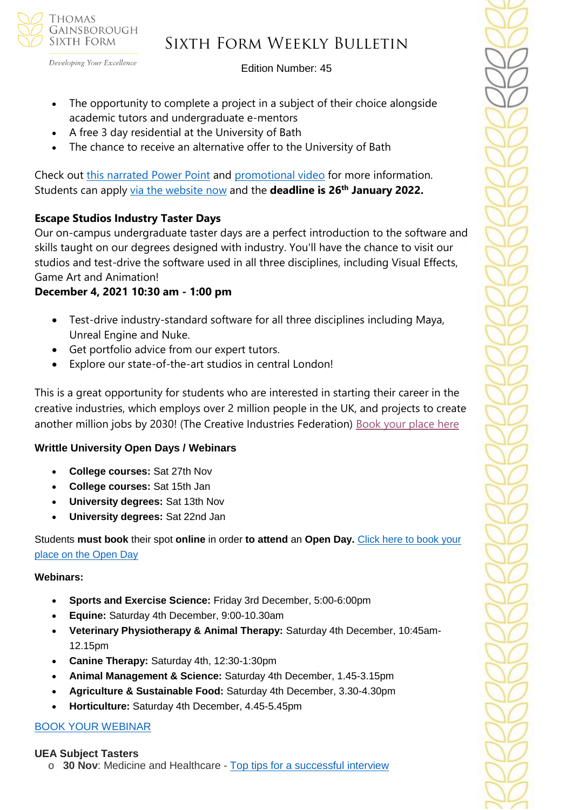GAINSBOROUGH SIXTH FORM

**THOMAS** 

# Sixth Form Weekly Bulletin

Edition Number: 45

- The opportunity to complete a project in a subject of their choice alongside academic tutors and undergraduate e-mentors
- A free 3 day residential at the University of Bath
- The chance to receive an alternative offer to the University of Bath

Check out this [narrated](https://vimeo.com/641580526/7c316d205f) Power Point and [promotional](https://vimeo.com/641831490/1ac47999c5) video for more information. Students can apply via the [website](https://www.bath.ac.uk/campaigns/pathway-to-bath-programme/#:~:text=What%2520is%2520Pathway%2520to%2520Bath%253F%2520Pathway%2520to%2520Bath,to%2520experience%2520life%2520as%2520a%2520student%2520at%2520Bath.) now and the **deadline is 26th January 2022.**

### **Escape Studios Industry Taster Days**

Our on-campus undergraduate taster days are a perfect introduction to the software and skills taught on our degrees designed with industry. You'll have the chance to visit our studios and test-drive the software used in all three disciplines, including Visual Effects, Game Art and Animation!

### **December 4, 2021 10:30 am - 1:00 pm**

- Test-drive industry-standard software for all three disciplines including Maya, Unreal Engine and Nuke.
- Get portfolio advice from our expert tutors.
- Explore our state-of-the-art studios in central London!

This is a great opportunity for students who are interested in starting their career in the creative industries, which employs over 2 million people in the UK, and projects to create another million jobs by 2030! (The Creative Industries Federation) [Book your place here](https://www.pearsoncollegelondon.ac.uk/escape-studios/visit-us/events/undergraduate-taster-days.html?utm_source=unitasterdays_esc&utm_medium=email)

### **Writtle University Open Days / Webinars**

- **College courses:** Sat 27th Nov
- **College courses:** Sat 15th Jan
- **University degrees:** Sat 13th Nov
- **University degrees:** Sat 22nd Jan

Students **must book** their spot **online** in order **to attend** an **Open Day.** [Click here to book your](https://writtle.ac.uk/College-Course-Events)  [place on the Open Day](https://writtle.ac.uk/College-Course-Events)

### **Webinars:**

- **Sports and Exercise Science:** Friday 3rd December, 5:00-6:00pm
- **Equine:** Saturday 4th December, 9:00-10.30am
- **Veterinary Physiotherapy & Animal Therapy:** Saturday 4th December, 10:45am-12.15pm
- **Canine Therapy:** Saturday 4th, 12:30-1:30pm
- **Animal Management & Science:** Saturday 4th December, 1.45-3.15pm
- **Agriculture & Sustainable Food:** Saturday 4th December, 3.30-4.30pm
- **Horticulture:** Saturday 4th December, 4.45-5.45pm

### [BOOK YOUR WEBINAR](https://writtle.us20.list-manage.com/track/click?u=7194fb1b34cb542ace9a663e3&id=70508011ec&e=645d34285f)

### **UEA Subject Tasters**

o **30 Nov**: Medicine and Healthcare - Top tips for a [successful](https://www.channeltalent.co.uk/event/he-guidance-preparing-for-medicine-healthcare-university-interviews-with-higher-education-advisers-from-university-of-east-anglia/) interview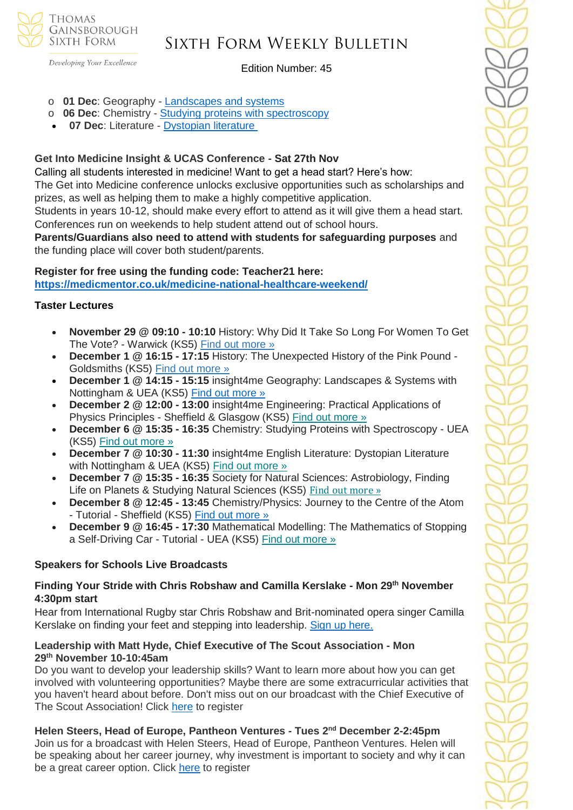**THOMAS** GAINSBOROUGH SIXTH FORM

## Sixth Form Weekly Bulletin

Developing Your Excellence

Edition Number: 45

- o **01 Dec**: Geography [Landscapes](https://www.channeltalent.co.uk/event/geography-insight4me-geography-landscapes-systems) and systems
- o **06 Dec**: Chemistry Studying proteins with [spectroscopy](https://www.channeltalent.co.uk/event/chemistry-studying-proteins-with-spectroscopy-with-dr-tharin-blumenschein-from-university-of-east-anglia/)
- **07 Dec**: Literature [Dystopian](https://www.channeltalent.co.uk/event/english-literature-insight4me-english-literature-dystopian-literature) literature

### **Get Into Medicine Insight & UCAS Conference - Sat 27th Nov**

Calling all students interested in medicine! Want to get a head start? Here's how:

The Get into Medicine conference unlocks exclusive opportunities such as scholarships and prizes, as well as helping them to make a highly competitive application.

Students in years 10-12, should make every effort to attend as it will give them a head start. Conferences run on weekends to help student attend out of school hours.

**Parents/Guardians also need to attend with students for safeguarding purposes** and the funding place will cover both student/parents.

# **Register for free using the funding code: Teacher21 here:**

**<https://medicmentor.co.uk/medicine-national-healthcare-weekend/>**

### **Taster Lectures**

- **November 29 @ 09:10 - 10:10** History: Why Did It Take So Long For Women To Get The Vote? - Warwick (KS5) Find out [more](https://channeltalent.us10.list-manage.com/track/click?u=145837fa6843e0c349598322a&id=eb231b9089&e=155232616c) »
- **December 1 @ 16:15 - 17:15** History: The Unexpected History of the Pink Pound Goldsmiths (KS5) Find out [more](https://channeltalent.us10.list-manage.com/track/click?u=145837fa6843e0c349598322a&id=0289b66ae9&e=155232616c) »
- **December 1 @ 14:15 - 15:15** insight4me Geography: Landscapes & Systems with Nottingham & UEA (KS5) [Find out more »](https://emea01.safelinks.protection.outlook.com/?url=https%3A%2F%2Fchanneltalent.us10.list-manage.com%2Ftrack%2Fclick%3Fu%3D145837fa6843e0c349598322a%26id%3D0dd612a1e7%26e%3Dba0e9a2959&data=04%7C01%7C%7Cc9f73b4cbaf44ff315f508d9a86f777d%7C84df9e7fe9f640afb435aaaaaaaaaaaa%7C1%7C0%7C637726018965476906%7CUnknown%7CTWFpbGZsb3d8eyJWIjoiMC4wLjAwMDAiLCJQIjoiV2luMzIiLCJBTiI6Ik1haWwiLCJXVCI6Mn0%3D%7C3000&sdata=EpQgn6REVc6qhYhBAAcJwGZIqaB1Wbe2yeHJ1kCAJpc%3D&reserved=0)
- **December 2 @ 12:00 - 13:00** insight4me Engineering: Practical Applications of Physics Principles - Sheffield & Glasgow (KS5) Find out [more](https://channeltalent.us10.list-manage.com/track/click?u=145837fa6843e0c349598322a&id=5af473a9c0&e=ba0e9a2959) »
- **December 6 @ 15:35 - 16:35** Chemistry: Studying Proteins with Spectroscopy UEA (KS5) Find out [more](https://channeltalent.us10.list-manage.com/track/click?u=145837fa6843e0c349598322a&id=cdf841d30b&e=ba0e9a2959) »
- **December 7 @ 10:30 - 11:30** insight4me English Literature: Dystopian Literature with Nottingham & UEA (KS5) Find out [more](https://channeltalent.us10.list-manage.com/track/click?u=145837fa6843e0c349598322a&id=ee2fa19d8f&e=ba0e9a2959) »
- **December 7 @ 15:35 - 16:35** Society for Natural Sciences: Astrobiology, Finding Life on Planets & Studying Natural Sciences (KS5) Find out [more](https://channeltalent.us10.list-manage.com/track/click?u=145837fa6843e0c349598322a&id=124b5e6b61&e=ba0e9a2959) »
- **December 8 @ 12:45 - 13:45** Chemistry/Physics: Journey to the Centre of the Atom - Tutorial - Sheffield (KS5) Find out [more](https://channeltalent.us10.list-manage.com/track/click?u=145837fa6843e0c349598322a&id=f953dc762d&e=ba0e9a2959) »
- **December 9 @ 16:45 - 17:30** Mathematical Modelling: The Mathematics of Stopping a Self-Driving Car - Tutorial - UEA (KS5) Find out [more](https://channeltalent.us10.list-manage.com/track/click?u=145837fa6843e0c349598322a&id=8ccad92a83&e=ba0e9a2959) »

### **Speakers for Schools Live Broadcasts**

### **Finding Your Stride with Chris Robshaw and Camilla Kerslake - Mon 29th November 4:30pm start**

Hear from International Rugby star Chris Robshaw and Brit-nominated opera singer Camilla Kerslake on finding your feet and stepping into leadership. [Sign up here.](https://emea01.safelinks.protection.outlook.com/?url=https%3A%2F%2Fyouthcard.org%2Fexclusive-workshops%2F&data=04%7C01%7C%7Ca22dd7e7c3eb4a3449c108d9a9d914d2%7C84df9e7fe9f640afb435aaaaaaaaaaaa%7C1%7C0%7C637727572089744046%7CUnknown%7CTWFpbGZsb3d8eyJWIjoiMC4wLjAwMDAiLCJQIjoiV2luMzIiLCJBTiI6Ik1haWwiLCJXVCI6Mn0%3D%7C3000&sdata=wS8LuXMmkEYnWOGOJRaAHQAVpCA8Pdf9yxTg16PBtV0%3D&reserved=0) 

### **Leadership with Matt Hyde, Chief Executive of The Scout Association - Mon 29th November 10-10:45am**

Do you want to develop your leadership skills? Want to learn more about how you can get involved with volunteering opportunities? Maybe there are some extracurricular activities that you haven't heard about before. Don't miss out on our broadcast with the Chief Executive of The Scout Association! Click [here](https://forms.office.com/r/EF0Dh20irx) to register

**Helen Steers, Head of Europe, Pantheon Ventures - Tues 2 nd December 2-2:45pm** Join us for a broadcast with Helen Steers, Head of Europe, Pantheon Ventures. Helen will be speaking about her career journey, why investment is important to society and why it can be a great career option. Click [here](https://forms.office.com/pages/responsepage.aspx?id=HFqhLo7yMEahv9dFTLRO65fTtVvpxU5Juw5B-0Ohp8RUMEtVTTA4TkxPMDNKMUZHQVpWNEpFUEYwMC4u) to register